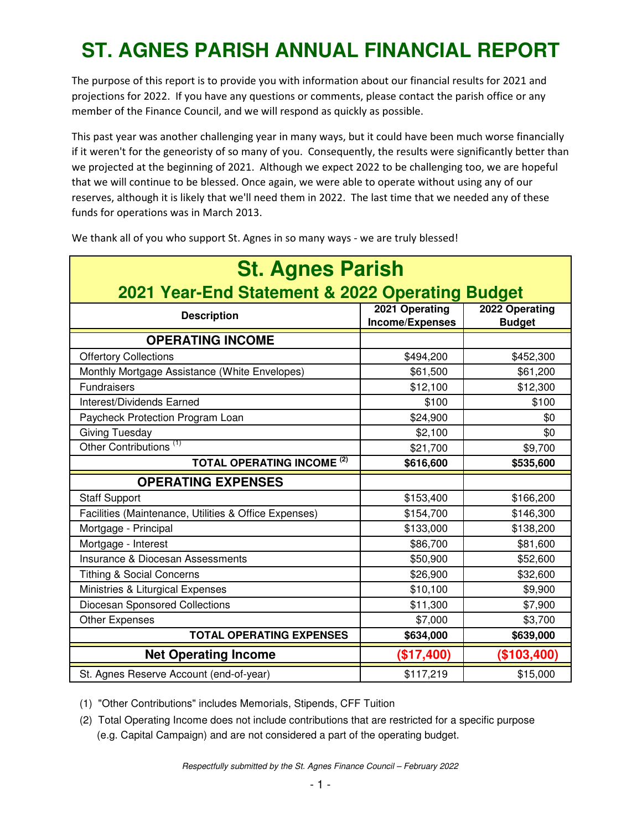## **ST. AGNES PARISH ANNUAL FINANCIAL REPORT**

The purpose of this report is to provide you with information about our financial results for 2021 and projections for 2022. If you have any questions or comments, please contact the parish office or any member of the Finance Council, and we will respond as quickly as possible.

This past year was another challenging year in many ways, but it could have been much worse financially if it weren't for the geneoristy of so many of you. Consequently, the results were significantly better than we projected at the beginning of 2021. Although we expect 2022 to be challenging too, we are hopeful that we will continue to be blessed. Once again, we were able to operate without using any of our reserves, although it is likely that we'll need them in 2022. The last time that we needed any of these funds for operations was in March 2013.

| <b>St. Agnes Parish</b>                               |                                   |                                 |  |  |
|-------------------------------------------------------|-----------------------------------|---------------------------------|--|--|
| 2021 Year-End Statement & 2022 Operating Budget       |                                   |                                 |  |  |
| <b>Description</b>                                    | 2021 Operating<br>Income/Expenses | 2022 Operating<br><b>Budget</b> |  |  |
| <b>OPERATING INCOME</b>                               |                                   |                                 |  |  |
| <b>Offertory Collections</b>                          | \$494,200                         | \$452,300                       |  |  |
| Monthly Mortgage Assistance (White Envelopes)         | \$61,500                          | \$61,200                        |  |  |
| <b>Fundraisers</b>                                    | \$12,100                          | \$12,300                        |  |  |
| Interest/Dividends Earned                             | \$100                             | \$100                           |  |  |
| Paycheck Protection Program Loan                      | \$24,900                          | \$0                             |  |  |
| <b>Giving Tuesday</b>                                 | \$2,100                           | \$0                             |  |  |
| Other Contributions <sup>(1)</sup>                    | \$21,700                          | \$9,700                         |  |  |
| <b>TOTAL OPERATING INCOME<sup>(2)</sup></b>           | \$616,600                         | \$535,600                       |  |  |
| <b>OPERATING EXPENSES</b>                             |                                   |                                 |  |  |
| <b>Staff Support</b>                                  | \$153,400                         | \$166,200                       |  |  |
| Facilities (Maintenance, Utilities & Office Expenses) | \$154,700                         | \$146,300                       |  |  |
| Mortgage - Principal                                  | \$133,000                         | \$138,200                       |  |  |
| Mortgage - Interest                                   | \$86,700                          | \$81,600                        |  |  |
| <b>Insurance &amp; Diocesan Assessments</b>           | \$50,900                          | \$52,600                        |  |  |
| <b>Tithing &amp; Social Concerns</b>                  | \$26,900                          | \$32,600                        |  |  |
| Ministries & Liturgical Expenses                      | \$10,100                          | \$9,900                         |  |  |
| Diocesan Sponsored Collections                        | \$11,300                          | \$7,900                         |  |  |
| <b>Other Expenses</b>                                 | \$7,000                           | \$3,700                         |  |  |
| <b>TOTAL OPERATING EXPENSES</b>                       | \$634,000                         | \$639,000                       |  |  |
| <b>Net Operating Income</b>                           | (\$17,400)                        | (\$103,400)                     |  |  |
| St. Agnes Reserve Account (end-of-year)               | \$117,219                         | \$15,000                        |  |  |

We thank all of you who support St. Agnes in so many ways - we are truly blessed!

(1) "Other Contributions" includes Memorials, Stipends, CFF Tuition

(2) Total Operating Income does not include contributions that are restricted for a specific purpose (e.g. Capital Campaign) and are not considered a part of the operating budget.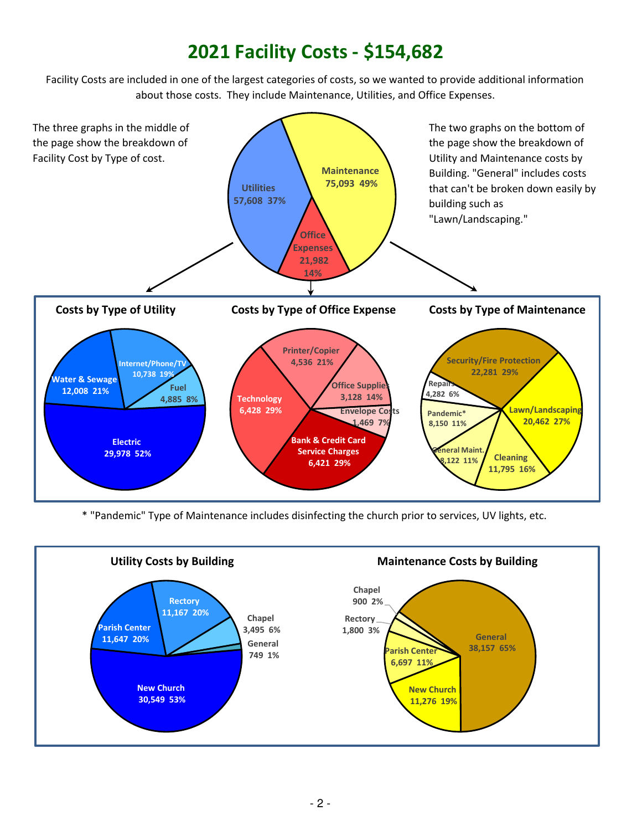## **2021 Facility Costs - \$154,682**

Facility Costs are included in one of the largest categories of costs, so we wanted to provide additional information about those costs. They include Maintenance, Utilities, and Office Expenses.



\* "Pandemic" Type of Maintenance includes disinfecting the church prior to services, UV lights, etc.

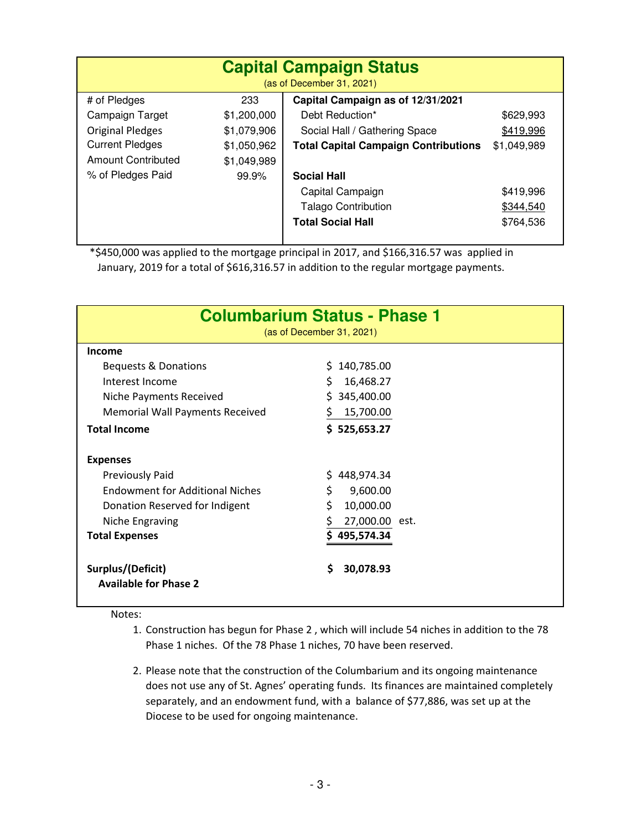| <b>Capital Campaign Status</b><br>(as of December 31, 2021) |             |                                             |             |  |
|-------------------------------------------------------------|-------------|---------------------------------------------|-------------|--|
| # of Pledges                                                | 233         | Capital Campaign as of 12/31/2021           |             |  |
| Campaign Target                                             | \$1,200,000 | Debt Reduction*                             | \$629,993   |  |
| <b>Original Pledges</b>                                     | \$1,079,906 | Social Hall / Gathering Space               | \$419,996   |  |
| <b>Current Pledges</b>                                      | \$1,050,962 | <b>Total Capital Campaign Contributions</b> | \$1,049,989 |  |
| Amount Contributed                                          | \$1,049,989 |                                             |             |  |
| % of Pledges Paid                                           | 99.9%       | <b>Social Hall</b>                          |             |  |
|                                                             |             | Capital Campaign                            | \$419,996   |  |
|                                                             |             | <b>Talago Contribution</b>                  | \$344,540   |  |
|                                                             |             | <b>Total Social Hall</b>                    | \$764,536   |  |

 \*\$450,000 was applied to the mortgage principal in 2017, and \$166,316.57 was applied in January, 2019 for a total of \$616,316.57 in addition to the regular mortgage payments.

| <b>Columbarium Status - Phase 1</b><br>(as of December 31, 2021) |                 |  |  |
|------------------------------------------------------------------|-----------------|--|--|
| <b>Income</b>                                                    |                 |  |  |
| Bequests & Donations                                             | 140,785.00<br>S |  |  |
| Interest Income                                                  | 16,468.27<br>S  |  |  |
| Niche Payments Received                                          | 345,400.00      |  |  |
| <b>Memorial Wall Payments Received</b>                           | 15,700.00       |  |  |
| <b>Total Income</b>                                              | \$525,653.27    |  |  |
| <b>Expenses</b>                                                  |                 |  |  |
| Previously Paid                                                  | 448,974.34      |  |  |
| <b>Endowment for Additional Niches</b>                           | \$<br>9,600.00  |  |  |
| Donation Reserved for Indigent                                   | \$<br>10,000.00 |  |  |
| Niche Engraving                                                  | 27,000.00 est.  |  |  |
| <b>Total Expenses</b>                                            | \$495,574.34    |  |  |
| Surplus/(Deficit)                                                | 30,078.93<br>S. |  |  |
| <b>Available for Phase 2</b>                                     |                 |  |  |

Notes:

- 1. Construction has begun for Phase 2 , which will include 54 niches in addition to the 78 Phase 1 niches. Of the 78 Phase 1 niches, 70 have been reserved.
- 2. Please note that the construction of the Columbarium and its ongoing maintenance does not use any of St. Agnes' operating funds. Its finances are maintained completely separately, and an endowment fund, with a balance of \$77,886, was set up at the Diocese to be used for ongoing maintenance.